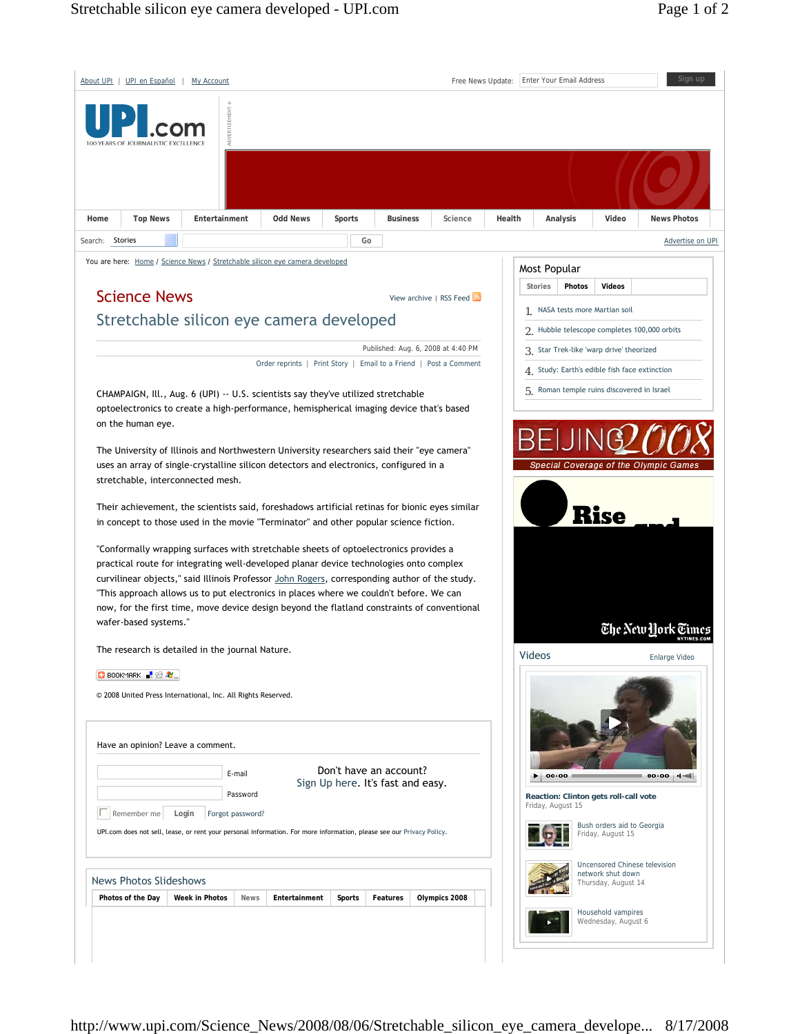